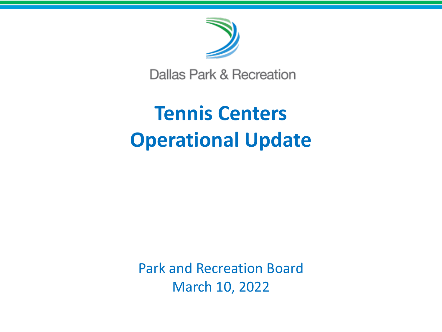

Dallas Park & Recreation

# **Tennis Centers Operational Update**

Park and Recreation Board March 10, 2022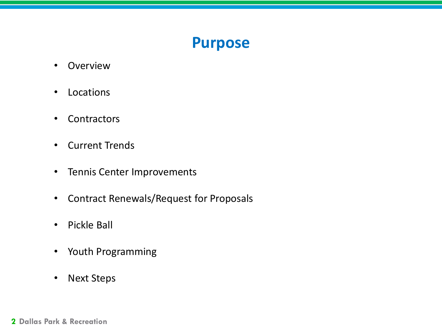### **Purpose**

- Overview
- Locations
- Contractors
- Current Trends
- Tennis Center Improvements
- Contract Renewals/Request for Proposals
- Pickle Ball
- Youth Programming
- Next Steps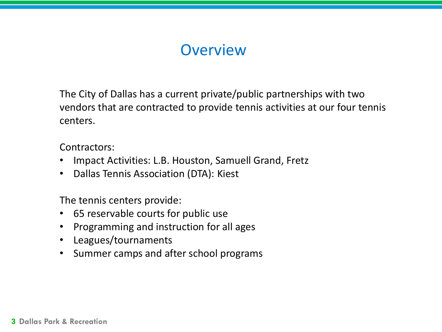# **Overview**

The City of Dallas has a current private/public partnerships with two vendors that are contracted to provide tennis activities at our four tennis centers.

Contractors:

- Impact Activities: L.B. Houston, Samuell Grand, Fretz
- Dallas Tennis Association (DTA): Kiest

The tennis centers provide:

- 65 reservable courts for public use
- Programming and instruction for all ages
- Leagues/tournaments
- Summer camps and after school programs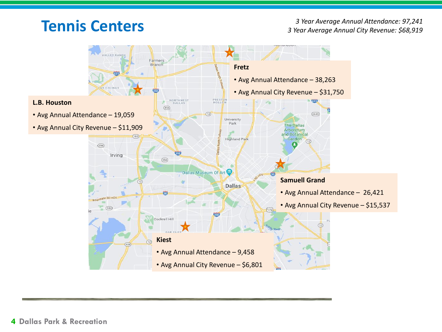# **Tennis Centers**

*3 Year Average Annual Attendance: 97,241 3 Year Average Annual City Revenue: \$68,919*

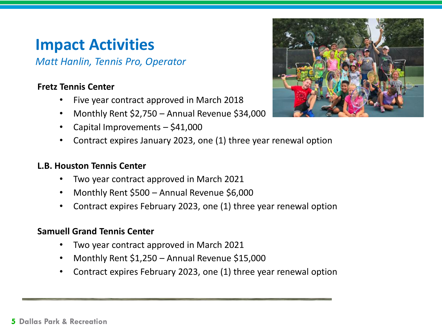# **Impact Activities**

*Matt Hanlin, Tennis Pro, Operator*

#### **Fretz Tennis Center**

- Five year contract approved in March 2018
- Monthly Rent \$2,750 Annual Revenue \$34,000
- Capital Improvements \$41,000
- Contract expires January 2023, one (1) three year renewal option

#### **L.B. Houston Tennis Center**

- Two year contract approved in March 2021
- Monthly Rent \$500 Annual Revenue \$6,000
- Contract expires February 2023, one (1) three year renewal option

#### **Samuell Grand Tennis Center**

- Two year contract approved in March 2021
- Monthly Rent \$1,250 Annual Revenue \$15,000
- Contract expires February 2023, one (1) three year renewal option

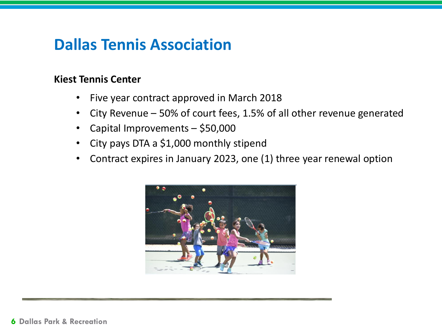# **Dallas Tennis Association**

### **Kiest Tennis Center**

- Five year contract approved in March 2018
- City Revenue 50% of court fees, 1.5% of all other revenue generated
- Capital Improvements \$50,000
- City pays DTA a \$1,000 monthly stipend
- Contract expires in January 2023, one (1) three year renewal option

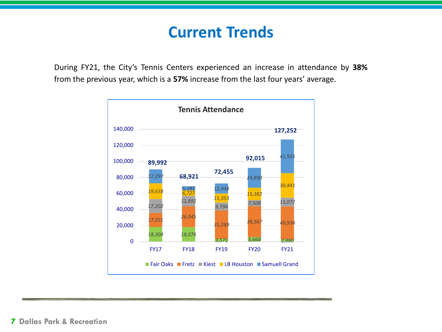### **Current Trends**

During FY21, the City's Tennis Centers experienced an increase in attendance by **38%** from the previous year, which is a **57%** increase from the last four years' average.

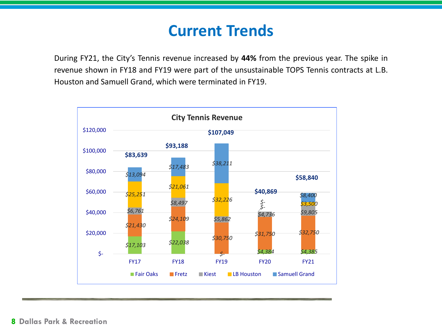# **Current Trends**

During FY21, the City's Tennis revenue increased by **44%** from the previous year. The spike in revenue shown in FY18 and FY19 were part of the unsustainable TOPS Tennis contracts at L.B. Houston and Samuell Grand, which were terminated in FY19.

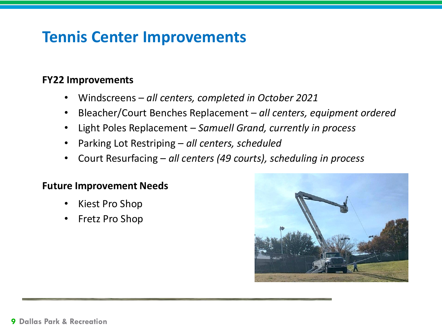# **Tennis Center Improvements**

### **FY22 Improvements**

- Windscreens *all centers, completed in October 2021*
- Bleacher/Court Benches Replacement *all centers, equipment ordered*
- Light Poles Replacement *Samuell Grand, currently in process*
- Parking Lot Restriping *all centers, scheduled*
- Court Resurfacing *all centers (49 courts), scheduling in process*

### **Future Improvement Needs**

- Kiest Pro Shop
- Fretz Pro Shop

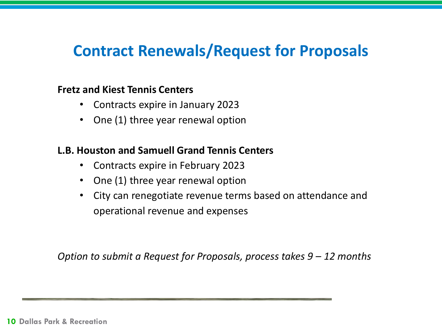## **Contract Renewals/Request for Proposals**

### **Fretz and Kiest Tennis Centers**

- Contracts expire in January 2023
- One (1) three year renewal option

### **L.B. Houston and Samuell Grand Tennis Centers**

- Contracts expire in February 2023
- One (1) three year renewal option
- City can renegotiate revenue terms based on attendance and operational revenue and expenses

*Option to submit a Request for Proposals, process takes 9 – 12 months*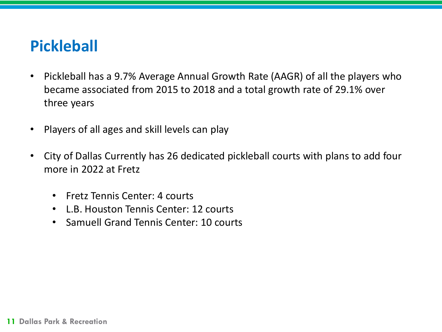# **Pickleball**

- Pickleball has a 9.7% Average Annual Growth Rate (AAGR) of all the players who became associated from 2015 to 2018 and a total growth rate of 29.1% over three years
- Players of all ages and skill levels can play
- City of Dallas Currently has 26 dedicated pickleball courts with plans to add four more in 2022 at Fretz
	- Fretz Tennis Center: 4 courts
	- L.B. Houston Tennis Center: 12 courts
	- Samuell Grand Tennis Center: 10 courts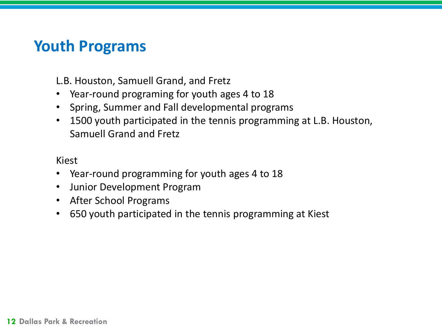# **Youth Programs**

L.B. Houston, Samuell Grand, and Fretz

- Year-round programing for youth ages 4 to 18
- Spring, Summer and Fall developmental programs
- 1500 youth participated in the tennis programming at L.B. Houston, Samuell Grand and Fretz

### Kiest

- Year-round programming for youth ages 4 to 18
- Junior Development Program
- After School Programs
- 650 youth participated in the tennis programming at Kiest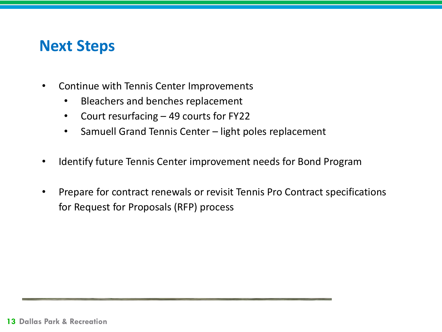### **Next Steps**

- Continue with Tennis Center Improvements
	- Bleachers and benches replacement
	- Court resurfacing  $-49$  courts for FY22
	- Samuell Grand Tennis Center light poles replacement
- Identify future Tennis Center improvement needs for Bond Program
- Prepare for contract renewals or revisit Tennis Pro Contract specifications for Request for Proposals (RFP) process